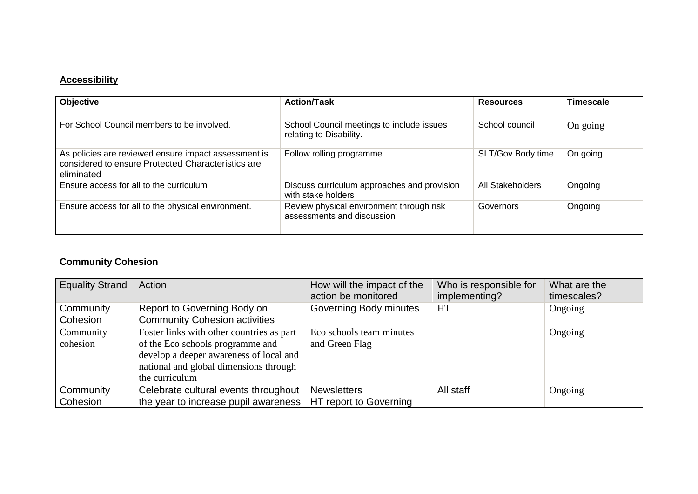## **Accessibility**

| <b>Objective</b>                                                                                                         | <b>Action/Task</b>                                                     | <b>Resources</b>  | <b>Timescale</b> |
|--------------------------------------------------------------------------------------------------------------------------|------------------------------------------------------------------------|-------------------|------------------|
| For School Council members to be involved.                                                                               | School Council meetings to include issues<br>relating to Disability.   | School council    | On going         |
| As policies are reviewed ensure impact assessment is<br>considered to ensure Protected Characteristics are<br>eliminated | Follow rolling programme                                               | SLT/Gov Body time | On going         |
| Ensure access for all to the curriculum                                                                                  | Discuss curriculum approaches and provision<br>with stake holders      | All Stakeholders  | Ongoing          |
| Ensure access for all to the physical environment.                                                                       | Review physical environment through risk<br>assessments and discussion | Governors         | Ongoing          |

# **Community Cohesion**

| <b>Equality Strand</b> | Action                                                                                                                                                                               | How will the impact of the<br>action be monitored | Who is responsible for<br>implementing? | What are the<br>timescales? |
|------------------------|--------------------------------------------------------------------------------------------------------------------------------------------------------------------------------------|---------------------------------------------------|-----------------------------------------|-----------------------------|
| Community<br>Cohesion  | Report to Governing Body on<br><b>Community Cohesion activities</b>                                                                                                                  | Governing Body minutes                            | HT                                      | Ongoing                     |
| Community<br>cohesion  | Foster links with other countries as part<br>of the Eco schools programme and<br>develop a deeper awareness of local and<br>national and global dimensions through<br>the curriculum | Eco schools team minutes<br>and Green Flag        |                                         | Ongoing                     |
| Community              | Celebrate cultural events throughout                                                                                                                                                 | <b>Newsletters</b>                                | All staff                               | Ongoing                     |
| Cohesion               | the year to increase pupil awareness                                                                                                                                                 | HT report to Governing                            |                                         |                             |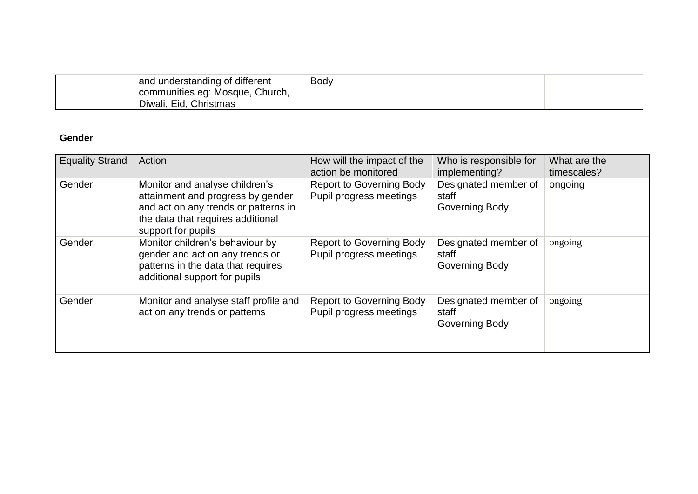| and understanding of different  | Body |  |
|---------------------------------|------|--|
| communities eg: Mosque, Church, |      |  |
| Diwali, Eid, Christmas          |      |  |

## **Gender**

| <b>Equality Strand</b> | Action                                                                                                                                                                 | How will the impact of the<br>action be monitored          | Who is responsible for<br>implementing?         | What are the<br>timescales? |
|------------------------|------------------------------------------------------------------------------------------------------------------------------------------------------------------------|------------------------------------------------------------|-------------------------------------------------|-----------------------------|
| Gender                 | Monitor and analyse children's<br>attainment and progress by gender<br>and act on any trends or patterns in<br>the data that requires additional<br>support for pupils | <b>Report to Governing Body</b><br>Pupil progress meetings | Designated member of<br>staff<br>Governing Body | ongoing                     |
| Gender                 | Monitor children's behaviour by<br>gender and act on any trends or<br>patterns in the data that requires<br>additional support for pupils                              | <b>Report to Governing Body</b><br>Pupil progress meetings | Designated member of<br>staff<br>Governing Body | ongoing                     |
| Gender                 | Monitor and analyse staff profile and<br>act on any trends or patterns                                                                                                 | <b>Report to Governing Body</b><br>Pupil progress meetings | Designated member of<br>staff<br>Governing Body | ongoing                     |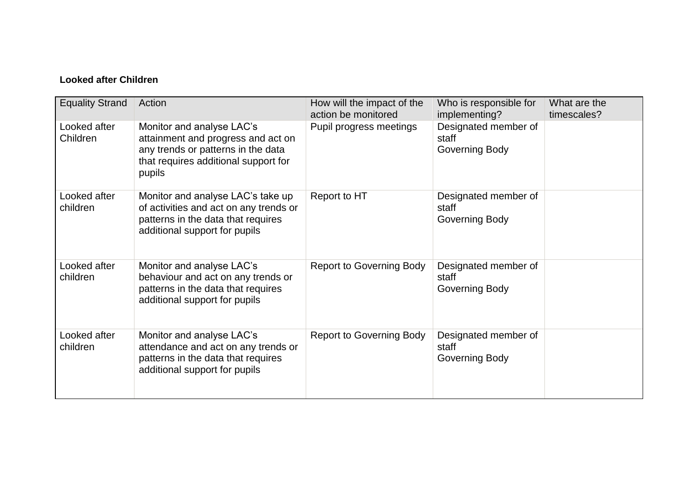# **Looked after Children**

| <b>Equality Strand</b>   | Action                                                                                                                                                  | How will the impact of the<br>action be monitored | Who is responsible for<br>implementing?         | What are the<br>timescales? |
|--------------------------|---------------------------------------------------------------------------------------------------------------------------------------------------------|---------------------------------------------------|-------------------------------------------------|-----------------------------|
| Looked after<br>Children | Monitor and analyse LAC's<br>attainment and progress and act on<br>any trends or patterns in the data<br>that requires additional support for<br>pupils | Pupil progress meetings                           | Designated member of<br>staff<br>Governing Body |                             |
| Looked after<br>children | Monitor and analyse LAC's take up<br>of activities and act on any trends or<br>patterns in the data that requires<br>additional support for pupils      | Report to HT                                      | Designated member of<br>staff<br>Governing Body |                             |
| Looked after<br>children | Monitor and analyse LAC's<br>behaviour and act on any trends or<br>patterns in the data that requires<br>additional support for pupils                  | <b>Report to Governing Body</b>                   | Designated member of<br>staff<br>Governing Body |                             |
| Looked after<br>children | Monitor and analyse LAC's<br>attendance and act on any trends or<br>patterns in the data that requires<br>additional support for pupils                 | <b>Report to Governing Body</b>                   | Designated member of<br>staff<br>Governing Body |                             |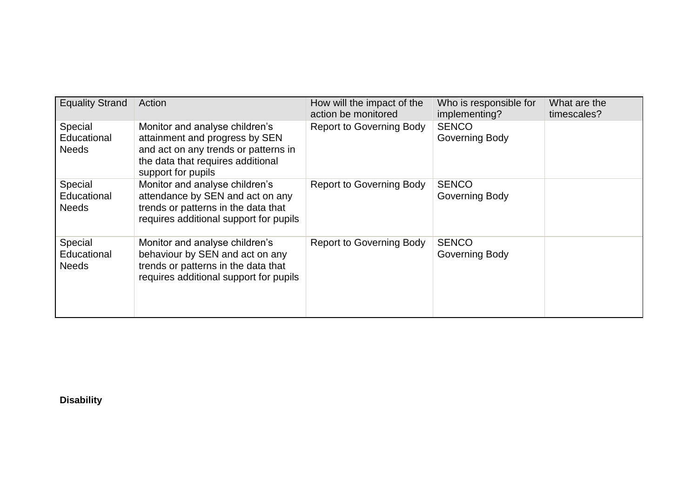| <b>Equality Strand</b>                 | Action                                                                                                                                                              | How will the impact of the<br>action be monitored | Who is responsible for<br>implementing? | What are the<br>timescales? |
|----------------------------------------|---------------------------------------------------------------------------------------------------------------------------------------------------------------------|---------------------------------------------------|-----------------------------------------|-----------------------------|
| Special<br>Educational<br><b>Needs</b> | Monitor and analyse children's<br>attainment and progress by SEN<br>and act on any trends or patterns in<br>the data that requires additional<br>support for pupils | <b>Report to Governing Body</b>                   | <b>SENCO</b><br>Governing Body          |                             |
| Special<br>Educational<br><b>Needs</b> | Monitor and analyse children's<br>attendance by SEN and act on any<br>trends or patterns in the data that<br>requires additional support for pupils                 | <b>Report to Governing Body</b>                   | <b>SENCO</b><br>Governing Body          |                             |
| Special<br>Educational<br><b>Needs</b> | Monitor and analyse children's<br>behaviour by SEN and act on any<br>trends or patterns in the data that<br>requires additional support for pupils                  | <b>Report to Governing Body</b>                   | <b>SENCO</b><br>Governing Body          |                             |

**Disability**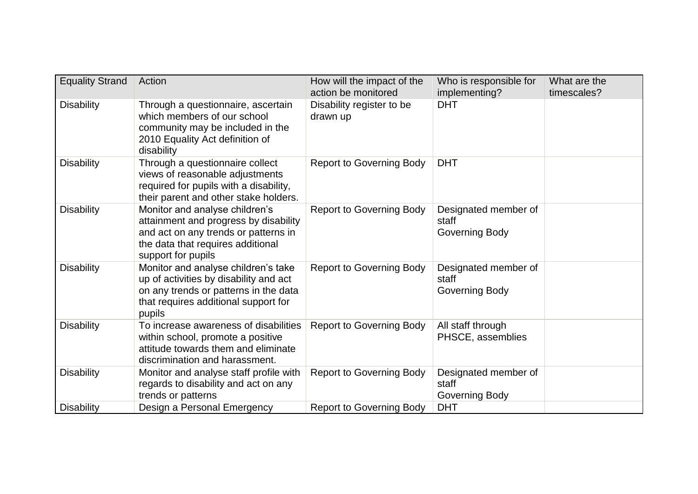| <b>Equality Strand</b> | Action                                                                                                                                                                     | How will the impact of the<br>action be monitored | Who is responsible for<br>implementing?         | What are the<br>timescales? |
|------------------------|----------------------------------------------------------------------------------------------------------------------------------------------------------------------------|---------------------------------------------------|-------------------------------------------------|-----------------------------|
| <b>Disability</b>      | Through a questionnaire, ascertain<br>which members of our school<br>community may be included in the<br>2010 Equality Act definition of<br>disability                     | Disability register to be<br>drawn up             | <b>DHT</b>                                      |                             |
| <b>Disability</b>      | Through a questionnaire collect<br>views of reasonable adjustments<br>required for pupils with a disability,<br>their parent and other stake holders.                      | <b>Report to Governing Body</b>                   | <b>DHT</b>                                      |                             |
| <b>Disability</b>      | Monitor and analyse children's<br>attainment and progress by disability<br>and act on any trends or patterns in<br>the data that requires additional<br>support for pupils | <b>Report to Governing Body</b>                   | Designated member of<br>staff<br>Governing Body |                             |
| <b>Disability</b>      | Monitor and analyse children's take<br>up of activities by disability and act<br>on any trends or patterns in the data<br>that requires additional support for<br>pupils   | <b>Report to Governing Body</b>                   | Designated member of<br>staff<br>Governing Body |                             |
| <b>Disability</b>      | To increase awareness of disabilities<br>within school, promote a positive<br>attitude towards them and eliminate<br>discrimination and harassment.                        | <b>Report to Governing Body</b>                   | All staff through<br>PHSCE, assemblies          |                             |
| <b>Disability</b>      | Monitor and analyse staff profile with<br>regards to disability and act on any<br>trends or patterns                                                                       | <b>Report to Governing Body</b>                   | Designated member of<br>staff<br>Governing Body |                             |
| <b>Disability</b>      | Design a Personal Emergency                                                                                                                                                | <b>Report to Governing Body</b>                   | <b>DHT</b>                                      |                             |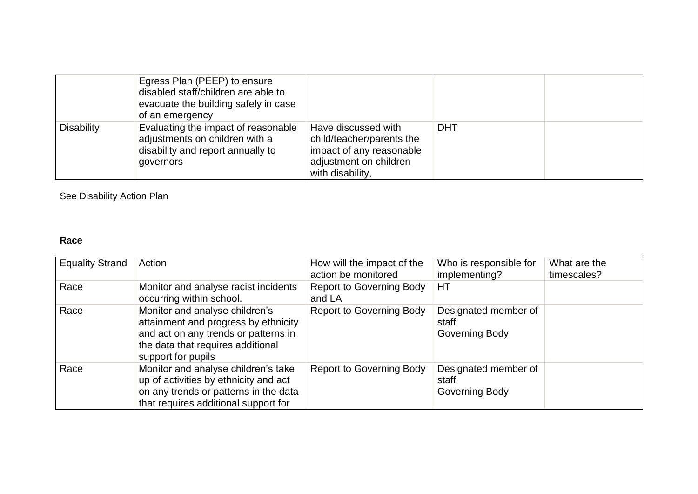|                   | Egress Plan (PEEP) to ensure<br>disabled staff/children are able to<br>evacuate the building safely in case<br>of an emergency |                                                                                                                            |            |  |
|-------------------|--------------------------------------------------------------------------------------------------------------------------------|----------------------------------------------------------------------------------------------------------------------------|------------|--|
| <b>Disability</b> | Evaluating the impact of reasonable<br>adjustments on children with a<br>disability and report annually to<br>governors        | Have discussed with<br>child/teacher/parents the<br>impact of any reasonable<br>adjustment on children<br>with disability, | <b>DHT</b> |  |

See Disability Action Plan

## **Race**

| <b>Equality Strand</b> | Action                                                                                                                                                                    | How will the impact of the<br>action be monitored | Who is responsible for<br>implementing?         | What are the<br>timescales? |
|------------------------|---------------------------------------------------------------------------------------------------------------------------------------------------------------------------|---------------------------------------------------|-------------------------------------------------|-----------------------------|
| Race                   | Monitor and analyse racist incidents<br>occurring within school.                                                                                                          | <b>Report to Governing Body</b><br>and LA         | <b>HT</b>                                       |                             |
| Race                   | Monitor and analyse children's<br>attainment and progress by ethnicity<br>and act on any trends or patterns in<br>the data that requires additional<br>support for pupils | <b>Report to Governing Body</b>                   | Designated member of<br>staff<br>Governing Body |                             |
| Race                   | Monitor and analyse children's take<br>up of activities by ethnicity and act<br>on any trends or patterns in the data<br>that requires additional support for             | <b>Report to Governing Body</b>                   | Designated member of<br>staff<br>Governing Body |                             |